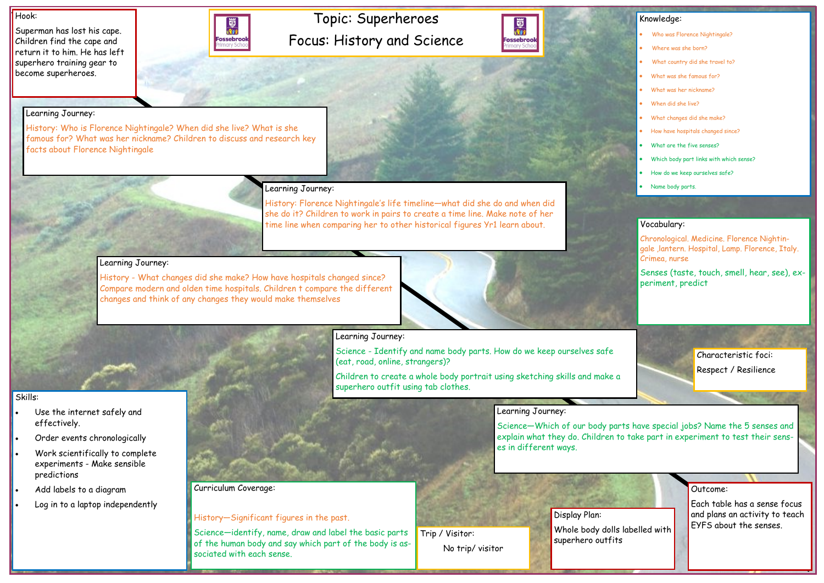# Topic: Superheroes Focus: History and Science



#### Hook:

Superman has lost his cape. Children find the cape and return it to him. He has left superhero training gear to become superheroes.



#### Outcome:

Each table has a sense focus and plans an activity to teach EYFS about the senses.

#### Knowledge:

- Who was Florence Nightingale?
- Where was she born?
- What country did she travel to?
- What was she famous for?
- What was her nickname?
- When did she live?
- What changes did she make?
- How have hospitals changed since?
- What are the five senses?
- Which body part links with which sense?
- How do we keep ourselves safe?
- Name body parts.

# Skills:

- Use the internet safely and effectively.
- Order events chronologically
- Work scientifically to complete experiments - Make sensible predictions
- Add labels to a diagram
- Log in to a laptop independently

### Learning Journey:

History: Who is Florence Nightingale? When did she live? What is she famous for? What was her nickname? Children to discuss and research key facts about Florence Nightingale

## Learning Journey:

History: Florence Nightingale's life timeline—what did she do and when did she do it? Children to work in pairs to create a time line. Make note of her time line when comparing her to other historical figures Yr1 learn about.

### Learning Journey:

History - What changes did she make? How have hospitals changed since? Compare modern and olden time hospitals. Children t compare the different changes and think of any changes they would make themselves



## Learning Journey:

Science - Identify and name body parts. How do we keep ourselves safe (eat, road, online, strangers)?

Children to create a whole body portrait using sketching skills and make a superhero outfit using tab clothes.

## Learning Journey:

Science—Which of our body parts have special jobs? Name the 5 senses and explain what they do. Children to take part in experiment to test their senses in different ways.

Curriculum Coverage:

## History—Significant figures in the past.

Science—identify, name, draw and label the basic parts of the human body and say which part of the body is associated with each sense.

#### Vocabulary:

Chronological. Medicine. Florence Nightingale ,lantern. Hospital, Lamp. Florence, Italy. Crimea, nurse

Senses (taste, touch, smell, hear, see), experiment, predict

> Characteristic foci: Respect / Resilience

Display Plan: Whole body dolls labelled with superhero outfits

Trip / Visitor: No trip/ visitor